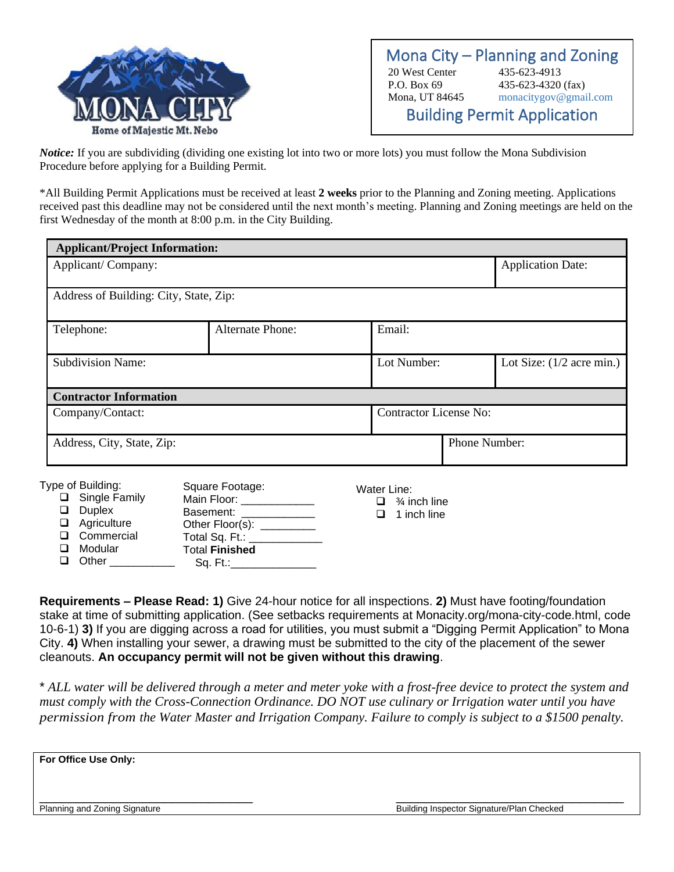

Mona City – Planning and Zoning 20 West Center 435-623-4913 P.O. Box 69 435-623-4320 (fax) Mona, UT 84645 monacitygov@gmail.com Building Permit Application

*Notice:* If you are subdividing (dividing one existing lot into two or more lots) you must follow the Mona Subdivision Procedure before applying for a Building Permit.

\*All Building Permit Applications must be received at least **2 weeks** prior to the Planning and Zoning meeting. Applications received past this deadline may not be considered until the next month's meeting. Planning and Zoning meetings are held on the first Wednesday of the month at 8:00 p.m. in the City Building.

| <b>Applicant/Project Information:</b>                              |                                                                                                      |                                                       |                             |
|--------------------------------------------------------------------|------------------------------------------------------------------------------------------------------|-------------------------------------------------------|-----------------------------|
| Applicant/Company:                                                 | <b>Application Date:</b>                                                                             |                                                       |                             |
| Address of Building: City, State, Zip:                             |                                                                                                      |                                                       |                             |
| Telephone:                                                         | <b>Alternate Phone:</b>                                                                              | Email:                                                |                             |
| <b>Subdivision Name:</b>                                           |                                                                                                      | Lot Number:                                           | Lot Size: $(1/2$ acre min.) |
| <b>Contractor Information</b>                                      |                                                                                                      |                                                       |                             |
| Company/Contact:                                                   |                                                                                                      | <b>Contractor License No:</b>                         |                             |
| Address, City, State, Zip:                                         |                                                                                                      |                                                       | Phone Number:               |
| Type of Building:<br>Single Family<br><b>Duplex</b><br>Agriculture | Square Footage:<br>Main Floor: _____________<br>Basement: _____________<br>Other Floor(s): _________ | Water Line:<br>$\Box$ % inch line<br>1 inch line<br>◻ |                             |

**Requirements – Please Read: 1)** Give 24-hour notice for all inspections. **2)** Must have footing/foundation stake at time of submitting application. (See setbacks requirements at Monacity.org/mona-city-code.html, code 10-6-1) **3)** If you are digging across a road for utilities, you must submit a "Digging Permit Application" to Mona City. **4)** When installing your sewer, a drawing must be submitted to the city of the placement of the sewer cleanouts. **An occupancy permit will not be given without this drawing**.

\* *ALL water will be delivered through a meter and meter yoke with a frost-free device to protect the system and must comply with the Cross-Connection Ordinance. DO NOT use culinary or Irrigation water until you have permission from the Water Master and Irrigation Company. Failure to comply is subject to a \$1500 penalty.* 

| For Office Use Only: |  |  |
|----------------------|--|--|
|                      |  |  |
|                      |  |  |

❑ Commercial ❑ Modular ❑ Other \_\_\_\_\_\_\_\_\_\_\_\_\_\_

Total Sq. Ft.: Total **Finished**  $Sq. Ft.:$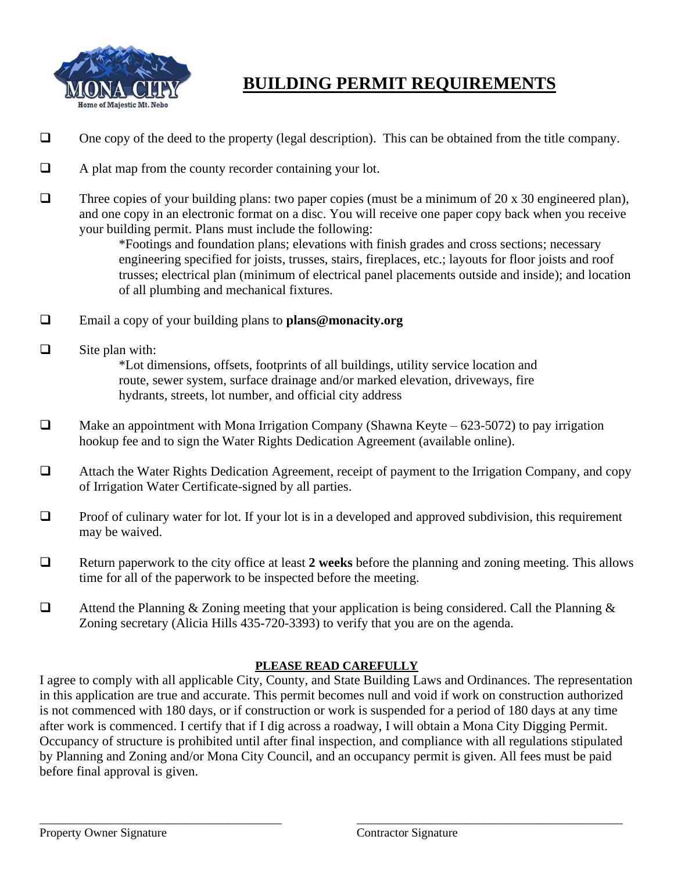

## **BUILDING PERMIT REQUIREMENTS**

- ❑ One copy of the deed to the property (legal description). This can be obtained from the title company.
- ❑ A plat map from the county recorder containing your lot.
- ❑ Three copies of your building plans: two paper copies (must be a minimum of 20 x 30 engineered plan), and one copy in an electronic format on a disc. You will receive one paper copy back when you receive your building permit. Plans must include the following:

\*Footings and foundation plans; elevations with finish grades and cross sections; necessary engineering specified for joists, trusses, stairs, fireplaces, etc.; layouts for floor joists and roof trusses; electrical plan (minimum of electrical panel placements outside and inside); and location of all plumbing and mechanical fixtures.

- ❑ Email a copy of your building plans to **plans@monacity.org**
- $\Box$  Site plan with:

\*Lot dimensions, offsets, footprints of all buildings, utility service location and route, sewer system, surface drainage and/or marked elevation, driveways, fire hydrants, streets, lot number, and official city address

- $\Box$  Make an appointment with Mona Irrigation Company (Shawna Keyte 623-5072) to pay irrigation hookup fee and to sign the Water Rights Dedication Agreement (available online).
- ❑ Attach the Water Rights Dedication Agreement, receipt of payment to the Irrigation Company, and copy of Irrigation Water Certificate-signed by all parties.
- ❑ Proof of culinary water for lot. If your lot is in a developed and approved subdivision, this requirement may be waived.
- ❑ Return paperwork to the city office at least **2 weeks** before the planning and zoning meeting. This allows time for all of the paperwork to be inspected before the meeting.
- ❑ Attend the Planning & Zoning meeting that your application is being considered. Call the Planning & Zoning secretary (Alicia Hills 435-720-3393) to verify that you are on the agenda.

## **PLEASE READ CAREFULLY**

I agree to comply with all applicable City, County, and State Building Laws and Ordinances. The representation in this application are true and accurate. This permit becomes null and void if work on construction authorized is not commenced with 180 days, or if construction or work is suspended for a period of 180 days at any time after work is commenced. I certify that if I dig across a roadway, I will obtain a Mona City Digging Permit. Occupancy of structure is prohibited until after final inspection, and compliance with all regulations stipulated by Planning and Zoning and/or Mona City Council, and an occupancy permit is given. All fees must be paid before final approval is given.

\_\_\_\_\_\_\_\_\_\_\_\_\_\_\_\_\_\_\_\_\_\_\_\_\_\_\_\_\_\_\_\_\_\_\_\_\_\_\_\_ \_\_\_\_\_\_\_\_\_\_\_\_\_\_\_\_\_\_\_\_\_\_\_\_\_\_\_\_\_\_\_\_\_\_\_\_\_\_\_\_\_\_\_\_

Property Owner Signature The Contractor Signature Contractor Signature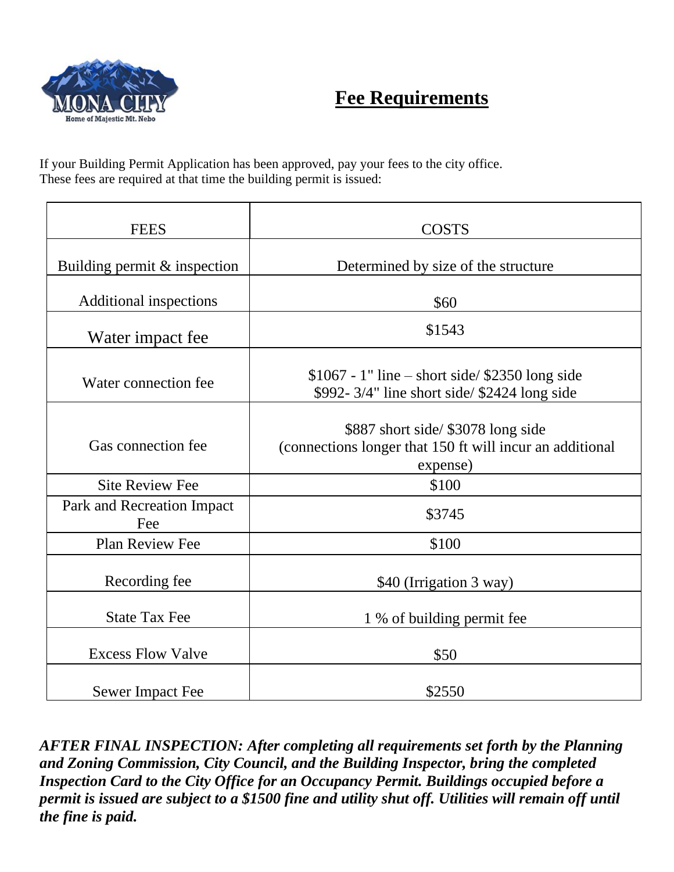

## **Fee Requirements**

If your Building Permit Application has been approved, pay your fees to the city office. These fees are required at that time the building permit is issued:

| <b>FEES</b>                       | <b>COSTS</b>                                                                                               |
|-----------------------------------|------------------------------------------------------------------------------------------------------------|
| Building permit & inspection      | Determined by size of the structure                                                                        |
| Additional inspections            | \$60                                                                                                       |
| Water impact fee                  | \$1543                                                                                                     |
| Water connection fee              | $$1067 - 1"$ line – short side/ \$2350 long side<br>\$992-3/4" line short side/ \$2424 long side           |
| Gas connection fee                | \$887 short side/ \$3078 long side<br>(connections longer that 150 ft will incur an additional<br>expense) |
| <b>Site Review Fee</b>            | \$100                                                                                                      |
| Park and Recreation Impact<br>Fee | \$3745                                                                                                     |
| <b>Plan Review Fee</b>            | \$100                                                                                                      |
| Recording fee                     | \$40 (Irrigation 3 way)                                                                                    |
| <b>State Tax Fee</b>              | 1 % of building permit fee                                                                                 |
| <b>Excess Flow Valve</b>          | \$50                                                                                                       |
| <b>Sewer Impact Fee</b>           | \$2550                                                                                                     |

*AFTER FINAL INSPECTION: After completing all requirements set forth by the Planning and Zoning Commission, City Council, and the Building Inspector, bring the completed Inspection Card to the City Office for an Occupancy Permit. Buildings occupied before a permit is issued are subject to a \$1500 fine and utility shut off. Utilities will remain off until the fine is paid.*